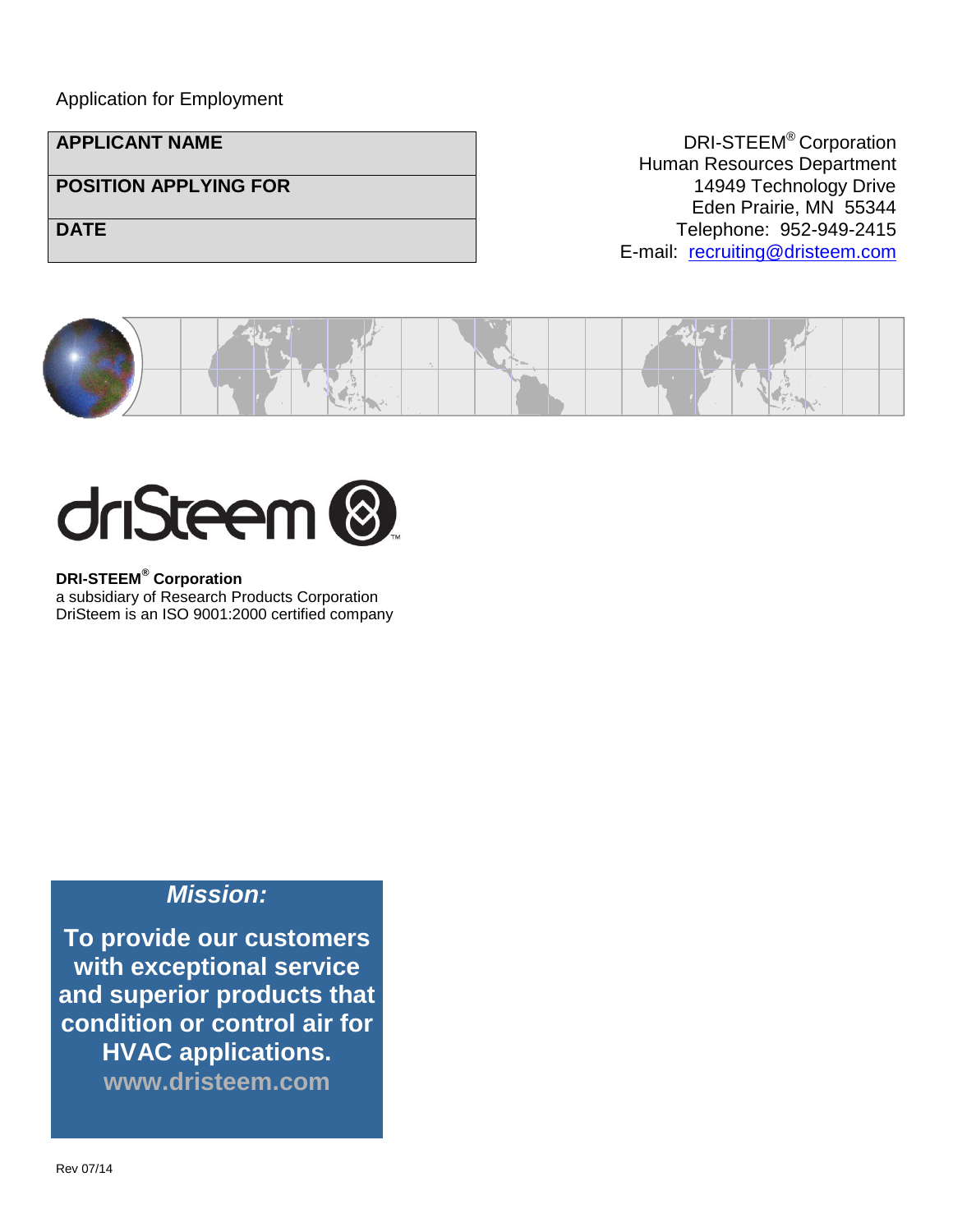#### Application for Employment

**APPLICANT NAME** DRI-STEEM<sup>®</sup> Corporation Human Resources Department **POSITION APPLYING FOR** 14949 Technology Drive Eden Prairie, MN 55344 **DATE DATE DATE Telephone: 952-949-2415** E-mail: [recruiting@dristeem.com](mailto:recruiting@dristeem.com)





**DRI-STEEM® Corporation**

a subsidiary of Research Products Corporation DriSteem is an ISO 9001:2000 certified company

#### *Mission:*

**To provide our customers with exceptional service and superior products that condition or control air for HVAC applications.**

**www.dristeem.com**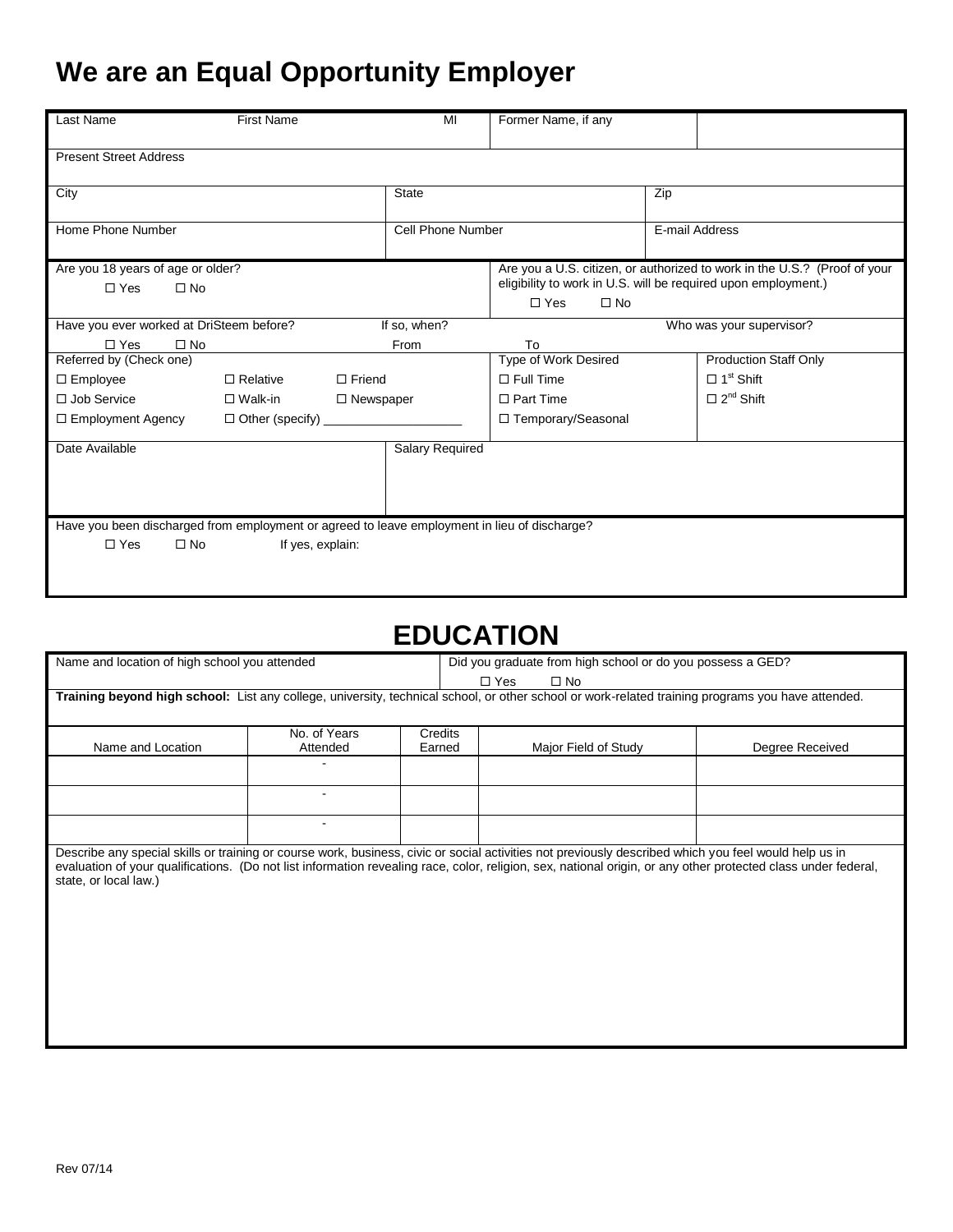# **We are an Equal Opportunity Employer**

| <b>Last Name</b>                                                                             | <b>First Name</b> | MI                       | Former Name, if any                                                                                                                                                    |     |                              |  |  |
|----------------------------------------------------------------------------------------------|-------------------|--------------------------|------------------------------------------------------------------------------------------------------------------------------------------------------------------------|-----|------------------------------|--|--|
| <b>Present Street Address</b>                                                                |                   |                          |                                                                                                                                                                        |     |                              |  |  |
| City                                                                                         |                   | <b>State</b>             |                                                                                                                                                                        | Zip |                              |  |  |
| Home Phone Number                                                                            |                   | <b>Cell Phone Number</b> |                                                                                                                                                                        |     | E-mail Address               |  |  |
| Are you 18 years of age or older?<br>$\Box$ No<br>$\Box$ Yes                                 |                   |                          | Are you a U.S. citizen, or authorized to work in the U.S.? (Proof of your<br>eligibility to work in U.S. will be required upon employment.)<br>$\Box$ No<br>$\Box$ Yes |     |                              |  |  |
| Have you ever worked at DriSteem before?                                                     |                   | If so, when?             |                                                                                                                                                                        |     | Who was your supervisor?     |  |  |
| $\Box$ Yes<br>$\Box$ No                                                                      |                   | From                     | To                                                                                                                                                                     |     |                              |  |  |
| Referred by (Check one)                                                                      |                   |                          | Type of Work Desired                                                                                                                                                   |     | <b>Production Staff Only</b> |  |  |
| $\Box$ Employee                                                                              | $\Box$ Relative   | $\Box$ Friend            | $\Box$ Full Time                                                                                                                                                       |     | $\Box$ 1 <sup>st</sup> Shift |  |  |
| $\Box$ Job Service                                                                           | $\Box$ Walk-in    | $\Box$ Newspaper         | $\Box$ Part Time                                                                                                                                                       |     | $\Box$ 2 <sup>nd</sup> Shift |  |  |
| $\Box$ Employment Agency                                                                     |                   |                          | □ Temporary/Seasonal                                                                                                                                                   |     |                              |  |  |
| Date Available                                                                               |                   | <b>Salary Required</b>   |                                                                                                                                                                        |     |                              |  |  |
| Have you been discharged from employment or agreed to leave employment in lieu of discharge? |                   |                          |                                                                                                                                                                        |     |                              |  |  |
| $\Box$ Yes<br>$\square$ No                                                                   | If yes, explain:  |                          |                                                                                                                                                                        |     |                              |  |  |

### **EDUCATION**

| Name and location of high school you attended                                                                                                                                                                                                                                                                                                    |                |         | Did you graduate from high school or do you possess a GED? |                      |                 |  |  |
|--------------------------------------------------------------------------------------------------------------------------------------------------------------------------------------------------------------------------------------------------------------------------------------------------------------------------------------------------|----------------|---------|------------------------------------------------------------|----------------------|-----------------|--|--|
|                                                                                                                                                                                                                                                                                                                                                  |                |         | $\Box$ Yes<br>$\square$ No                                 |                      |                 |  |  |
| Training beyond high school: List any college, university, technical school, or other school or work-related training programs you have attended.                                                                                                                                                                                                |                |         |                                                            |                      |                 |  |  |
|                                                                                                                                                                                                                                                                                                                                                  |                |         |                                                            |                      |                 |  |  |
|                                                                                                                                                                                                                                                                                                                                                  | No. of Years   | Credits |                                                            |                      |                 |  |  |
| Name and Location                                                                                                                                                                                                                                                                                                                                | Attended       | Earned  |                                                            | Major Field of Study | Degree Received |  |  |
|                                                                                                                                                                                                                                                                                                                                                  |                |         |                                                            |                      |                 |  |  |
|                                                                                                                                                                                                                                                                                                                                                  | $\blacksquare$ |         |                                                            |                      |                 |  |  |
|                                                                                                                                                                                                                                                                                                                                                  |                |         |                                                            |                      |                 |  |  |
|                                                                                                                                                                                                                                                                                                                                                  | ۰              |         |                                                            |                      |                 |  |  |
|                                                                                                                                                                                                                                                                                                                                                  |                |         |                                                            |                      |                 |  |  |
| Describe any special skills or training or course work, business, civic or social activities not previously described which you feel would help us in<br>evaluation of your qualifications. (Do not list information revealing race, color, religion, sex, national origin, or any other protected class under federal,<br>state, or local law.) |                |         |                                                            |                      |                 |  |  |
|                                                                                                                                                                                                                                                                                                                                                  |                |         |                                                            |                      |                 |  |  |
|                                                                                                                                                                                                                                                                                                                                                  |                |         |                                                            |                      |                 |  |  |
|                                                                                                                                                                                                                                                                                                                                                  |                |         |                                                            |                      |                 |  |  |
|                                                                                                                                                                                                                                                                                                                                                  |                |         |                                                            |                      |                 |  |  |
|                                                                                                                                                                                                                                                                                                                                                  |                |         |                                                            |                      |                 |  |  |
|                                                                                                                                                                                                                                                                                                                                                  |                |         |                                                            |                      |                 |  |  |
|                                                                                                                                                                                                                                                                                                                                                  |                |         |                                                            |                      |                 |  |  |
|                                                                                                                                                                                                                                                                                                                                                  |                |         |                                                            |                      |                 |  |  |
|                                                                                                                                                                                                                                                                                                                                                  |                |         |                                                            |                      |                 |  |  |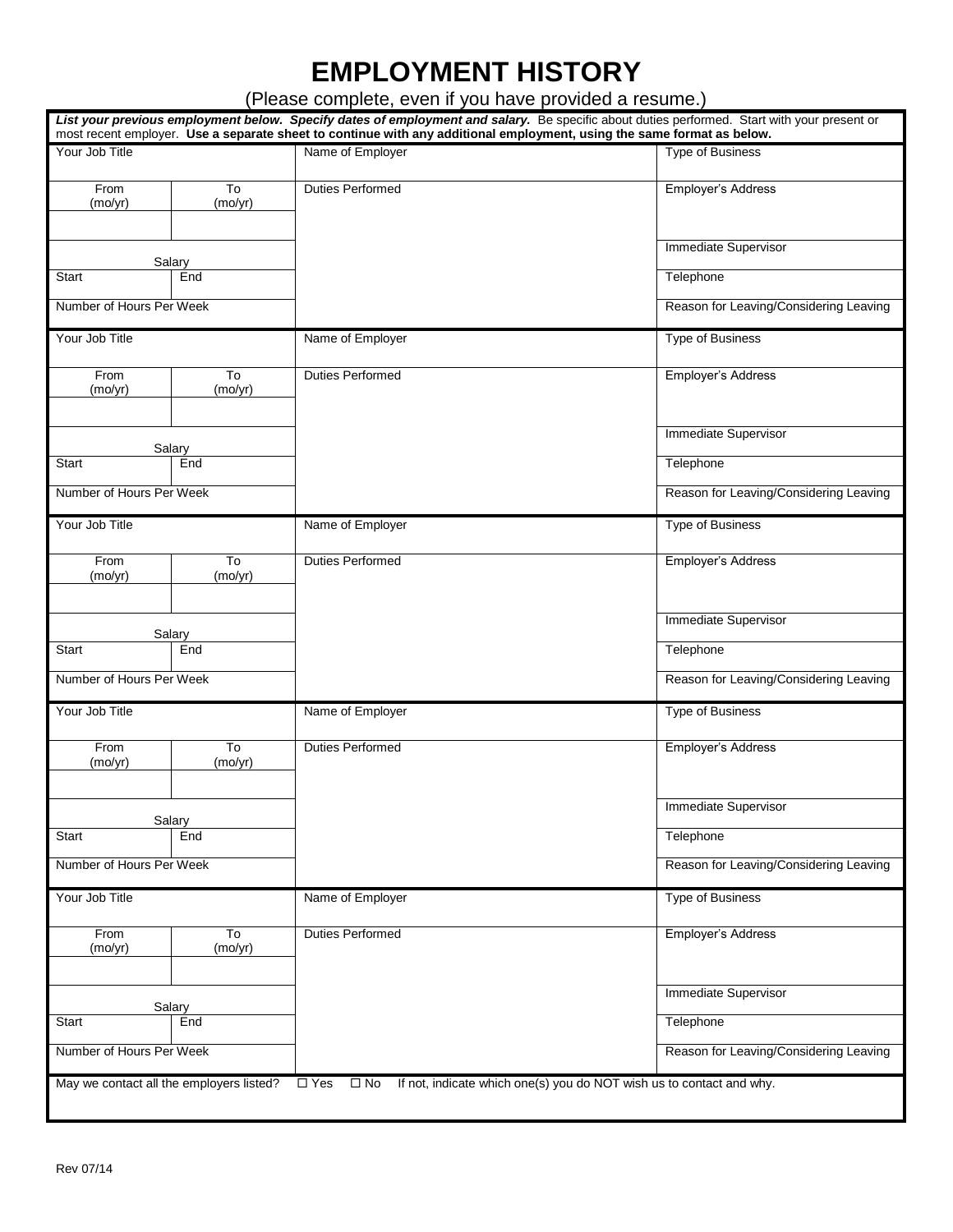## **EMPLOYMENT HISTORY**

(Please complete, even if you have provided a resume.)

|                          |                                                        | most recent employer. Use a separate sheet to continue with any additional employment, using the same format as below. | List your previous employment below. Specify dates of employment and salary. Be specific about duties performed. Start with your present or |
|--------------------------|--------------------------------------------------------|------------------------------------------------------------------------------------------------------------------------|---------------------------------------------------------------------------------------------------------------------------------------------|
| Your Job Title           |                                                        | Name of Employer                                                                                                       | Type of Business                                                                                                                            |
| From<br>(mo/yr)          | T <sub>o</sub><br>(mo/yr)                              | <b>Duties Performed</b>                                                                                                | Employer's Address                                                                                                                          |
|                          |                                                        |                                                                                                                        | <b>Immediate Supervisor</b>                                                                                                                 |
| Salary<br>Start<br>End   |                                                        |                                                                                                                        | Telephone                                                                                                                                   |
| Number of Hours Per Week |                                                        |                                                                                                                        | Reason for Leaving/Considering Leaving                                                                                                      |
| Your Job Title           |                                                        | Name of Employer                                                                                                       | <b>Type of Business</b>                                                                                                                     |
| From<br>(mo/yr)          | To<br>(mo/yr)                                          | <b>Duties Performed</b>                                                                                                | Employer's Address                                                                                                                          |
|                          | Salary                                                 |                                                                                                                        | <b>Immediate Supervisor</b>                                                                                                                 |
| Start                    | End                                                    |                                                                                                                        | Telephone                                                                                                                                   |
| Number of Hours Per Week |                                                        |                                                                                                                        | Reason for Leaving/Considering Leaving                                                                                                      |
| Your Job Title           |                                                        | Name of Employer                                                                                                       | <b>Type of Business</b>                                                                                                                     |
| From<br>(mo/yr)          | $\overline{\mathrm{To}}$<br>(mo/yr)                    | <b>Duties Performed</b>                                                                                                | Employer's Address                                                                                                                          |
|                          |                                                        |                                                                                                                        | <b>Immediate Supervisor</b>                                                                                                                 |
| Start                    | Salary<br>End                                          |                                                                                                                        | Telephone                                                                                                                                   |
| Number of Hours Per Week |                                                        |                                                                                                                        | Reason for Leaving/Considering Leaving                                                                                                      |
| Your Job Title           |                                                        | Name of Employer                                                                                                       | Type of Business                                                                                                                            |
| From<br>(mo/yr)          | $\overline{\mathsf{T}}$<br>(mo/yr)                     | <b>Duties Performed</b>                                                                                                | Employer's Address                                                                                                                          |
|                          |                                                        |                                                                                                                        | Immediate Supervisor                                                                                                                        |
| Salary<br>Start<br>End   |                                                        |                                                                                                                        | Telephone                                                                                                                                   |
| Number of Hours Per Week |                                                        |                                                                                                                        | Reason for Leaving/Considering Leaving                                                                                                      |
| Your Job Title           |                                                        | Name of Employer                                                                                                       | <b>Type of Business</b>                                                                                                                     |
| From<br>(mo/yr)          | To<br>(mo/yr)                                          | <b>Duties Performed</b>                                                                                                | Employer's Address                                                                                                                          |
|                          |                                                        |                                                                                                                        | Immediate Supervisor                                                                                                                        |
| Salary<br>Start<br>End   |                                                        |                                                                                                                        | Telephone                                                                                                                                   |
| Number of Hours Per Week |                                                        |                                                                                                                        | Reason for Leaving/Considering Leaving                                                                                                      |
|                          | May we contact all the employers listed? $\square$ Yes | $\Box$ No                                                                                                              | If not, indicate which one(s) you do NOT wish us to contact and why.                                                                        |